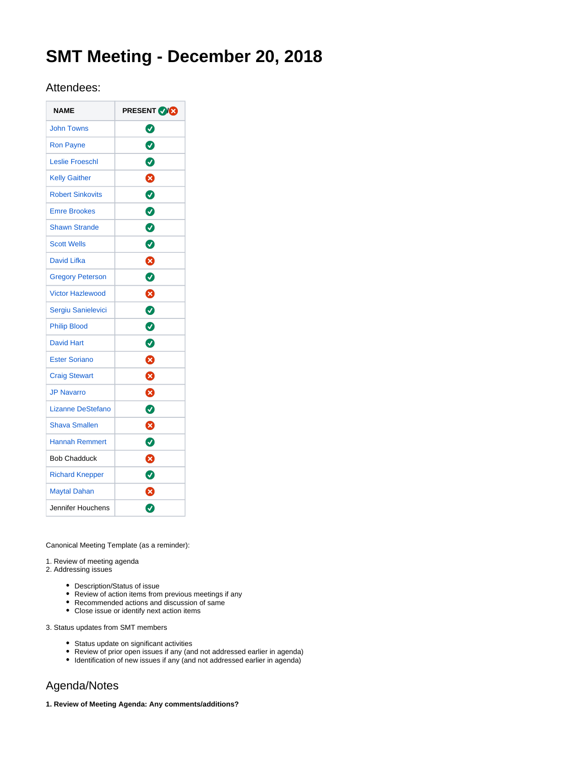# **SMT Meeting - December 20, 2018**

# Attendees:

| <b>NAME</b>              | <b>PRESENT VICE</b> |
|--------------------------|---------------------|
| <b>John Towns</b>        | Ø                   |
| <b>Ron Payne</b>         | 0                   |
| <b>Leslie Froeschl</b>   | Ø                   |
| <b>Kelly Gaither</b>     | ☺                   |
| <b>Robert Sinkovits</b>  | $\bullet$           |
| <b>Emre Brookes</b>      | $\bullet$           |
| <b>Shawn Strande</b>     | $\bullet$           |
| <b>Scott Wells</b>       | Ø                   |
| <b>David Lifka</b>       | Ø                   |
| <b>Gregory Peterson</b>  | ◙                   |
| <b>Victor Hazlewood</b>  | ❸                   |
| Sergiu Sanielevici       | $\bullet$           |
| <b>Philip Blood</b>      | 0                   |
| <b>David Hart</b>        | Ø                   |
| <b>Ester Soriano</b>     | Ø                   |
| <b>Craig Stewart</b>     | Ø                   |
| <b>JP Navarro</b>        | Ø                   |
| <b>Lizanne DeStefano</b> | Ø                   |
| <b>Shava Smallen</b>     | Ø                   |
| <b>Hannah Remmert</b>    | Ø                   |
| <b>Bob Chadduck</b>      | Ø                   |
| <b>Richard Knepper</b>   | Ø                   |
| <b>Maytal Dahan</b>      | ఴ                   |
| Jennifer Houchens        | Ø                   |

Canonical Meeting Template (as a reminder):

1. Review of meeting agenda

- 2. Addressing issues
	- Description/Status of issue
	- Review of action items from previous meetings if any
	- Recommended actions and discussion of same
	- Close issue or identify next action items

3. Status updates from SMT members

- Status update on significant activities
- Review of prior open issues if any (and not addressed earlier in agenda)
- Identification of new issues if any (and not addressed earlier in agenda)

# Agenda/Notes

**1. Review of Meeting Agenda: Any comments/additions?**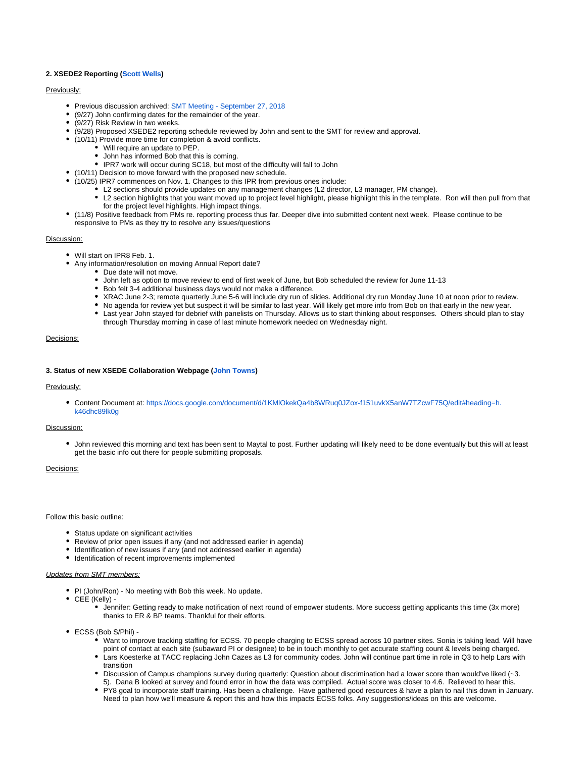# **2. XSEDE2 Reporting [\(Scott Wells](https://confluence.xsede.org/display/~swells))**

### Previously:

- Previous discussion archived: [SMT Meeting September 27, 2018](https://confluence.xsede.org/display/XT/SMT+Meeting+-+September+27%2C+2018)
- (9/27) John confirming dates for the remainder of the year.
- (9/27) Risk Review in two weeks.
- (9/28) Proposed XSEDE2 reporting schedule reviewed by John and sent to the SMT for review and approval.
- (10/11) Provide more time for completion & avoid conflicts.
	- Will require an update to PEP.
		- John has informed Bob that this is coming.
	- IPR7 work will occur during SC18, but most of the difficulty will fall to John
- (10/11) Decision to move forward with the proposed new schedule.
	- (10/25) IPR7 commences on Nov. 1. Changes to this IPR from previous ones include:
		- L2 sections should provide updates on any management changes (L2 director, L3 manager, PM change).
		- L2 section highlights that you want moved up to project level highlight, please highlight this in the template. Ron will then pull from that for the project level highlights. High impact things.
- (11/8) Positive feedback from PMs re. reporting process thus far. Deeper dive into submitted content next week. Please continue to be responsive to PMs as they try to resolve any issues/questions

#### Discussion:

- Will start on IPR8 Feb. 1.
- Any information/resolution on moving Annual Report date?
	- Due date will not move.
	- John left as option to move review to end of first week of June, but Bob scheduled the review for June 11-13
	- Bob felt 3-4 additional business days would not make a difference.
	- XRAC June 2-3; remote quarterly June 5-6 will include dry run of slides. Additional dry run Monday June 10 at noon prior to review.
	- No agenda for review yet but suspect it will be similar to last year. Will likely get more info from Bob on that early in the new year.
	- Last year John stayed for debrief with panelists on Thursday. Allows us to start thinking about responses. Others should plan to stay through Thursday morning in case of last minute homework needed on Wednesday night.

## Decisions:

#### **3. Status of new XSEDE Collaboration Webpage [\(John Towns\)](https://confluence.xsede.org/display/~jtowns)**

#### Previously:

Content Document at: [https://docs.google.com/document/d/1KMlOkekQa4b8WRuq0JZox-f151uvkX5anW7TZcwF75Q/edit#heading=h.](https://docs.google.com/document/d/1KMlOkekQa4b8WRuq0JZox-f151uvkX5anW7TZcwF75Q/edit#heading=h.k46dhc89lk0g) [k46dhc89lk0g](https://docs.google.com/document/d/1KMlOkekQa4b8WRuq0JZox-f151uvkX5anW7TZcwF75Q/edit#heading=h.k46dhc89lk0g)

## Discussion:

John reviewed this morning and text has been sent to Maytal to post. Further updating will likely need to be done eventually but this will at least get the basic info out there for people submitting proposals.

#### Decisions:

#### Follow this basic outline:

- Status update on significant activities
- Review of prior open issues if any (and not addressed earlier in agenda)
- Identification of new issues if any (and not addressed earlier in agenda)
- Identification of recent improvements implemented

#### Updates from SMT members:

- PI (John/Ron) No meeting with Bob this week. No update.
- CEE (Kelly)
	- Jennifer: Getting ready to make notification of next round of empower students. More success getting applicants this time (3x more) thanks to ER & BP teams. Thankful for their efforts.
- ECSS (Bob S/Phil)
	- Want to improve tracking staffing for ECSS. 70 people charging to ECSS spread across 10 partner sites. Sonia is taking lead. Will have point of contact at each site (subaward PI or designee) to be in touch monthly to get accurate staffing count & levels being charged.
	- Lars Koesterke at TACC replacing John Cazes as L3 for community codes. John will continue part time in role in Q3 to help Lars with transition
	- Discussion of Campus champions survey during quarterly: Question about discrimination had a lower score than would've liked (~3. 5). Dana B looked at survey and found error in how the data was compiled. Actual score was closer to 4.6. Relieved to hear this.
	- PY8 goal to incorporate staff training. Has been a challenge. Have gathered good resources & have a plan to nail this down in January. Need to plan how we'll measure & report this and how this impacts ECSS folks. Any suggestions/ideas on this are welcome.